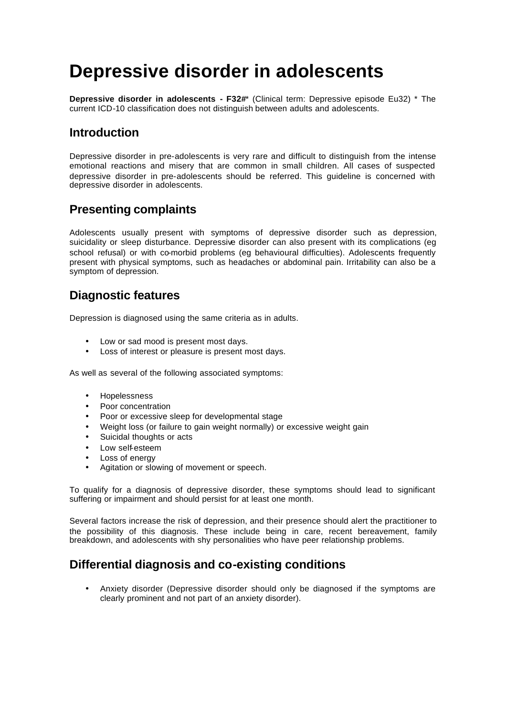# **Depressive disorder in adolescents**

**Depressive disorder in adolescents - F32#**\* (Clinical term: Depressive episode Eu32) \* The current ICD-10 classification does not distinguish between adults and adolescents.

### **Introduction**

Depressive disorder in pre-adolescents is very rare and difficult to distinguish from the intense emotional reactions and misery that are common in small children. All cases of suspected depressive disorder in pre-adolescents should be referred. This guideline is concerned with depressive disorder in adolescents.

## **Presenting complaints**

Adolescents usually present with symptoms of depressive disorder such as depression, suicidality or sleep disturbance. Depressive disorder can also present with its complications (eg school refusal) or with co-morbid problems (eg behavioural difficulties). Adolescents frequently present with physical symptoms, such as headaches or abdominal pain. Irritability can also be a symptom of depression.

# **Diagnostic features**

Depression is diagnosed using the same criteria as in adults.

- Low or sad mood is present most days.
- Loss of interest or pleasure is present most days.

As well as several of the following associated symptoms:

- Hopelessness
- Poor concentration
- Poor or excessive sleep for developmental stage
- Weight loss (or failure to gain weight normally) or excessive weight gain
- Suicidal thoughts or acts
- Low self-esteem
- Loss of energy
- Agitation or slowing of movement or speech.

To qualify for a diagnosis of depressive disorder, these symptoms should lead to significant suffering or impairment and should persist for at least one month.

Several factors increase the risk of depression, and their presence should alert the practitioner to the possibility of this diagnosis. These include being in care, recent bereavement, family breakdown, and adolescents with shy personalities who have peer relationship problems.

# **Differential diagnosis and co-existing conditions**

• Anxiety disorder (Depressive disorder should only be diagnosed if the symptoms are clearly prominent and not part of an anxiety disorder).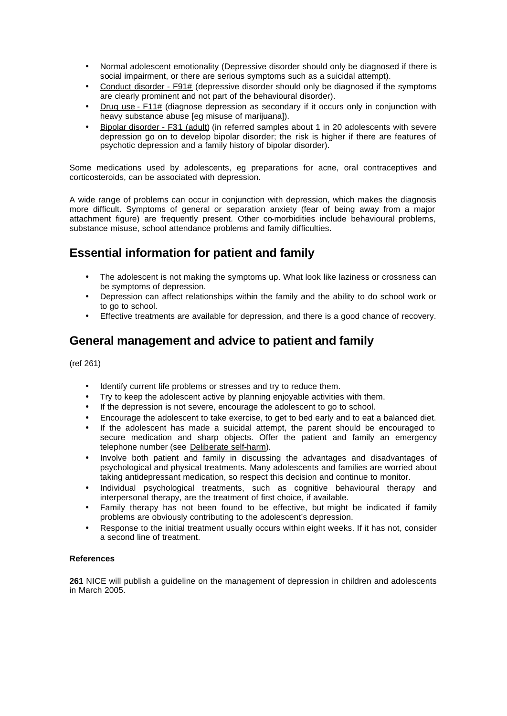- Normal adolescent emotionality (Depressive disorder should only be diagnosed if there is social impairment, or there are serious symptoms such as a suicidal attempt).
- Conduct disorder F91# (depressive disorder should only be diagnosed if the symptoms are clearly prominent and not part of the behavioural disorder).
- Drug use F11# (diagnose depression as secondary if it occurs only in conjunction with heavy substance abuse [eg misuse of marijuana]).
- Bipolar disorder F31 (adult) (in referred samples about 1 in 20 adolescents with severe depression go on to develop bipolar disorder; the risk is higher if there are features of psychotic depression and a family history of bipolar disorder).

Some medications used by adolescents, eg preparations for acne, oral contraceptives and corticosteroids, can be associated with depression.

A wide range of problems can occur in conjunction with depression, which makes the diagnosis more difficult. Symptoms of general or separation anxiety (fear of being away from a major attachment figure) are frequently present. Other co-morbidities include behavioural problems, substance misuse, school attendance problems and family difficulties.

# **Essential information for patient and family**

- The adolescent is not making the symptoms up. What look like laziness or crossness can be symptoms of depression.
- Depression can affect relationships within the family and the ability to do school work or to go to school.
- Effective treatments are available for depression, and there is a good chance of recovery.

## **General management and advice to patient and family**

(ref 261)

- Identify current life problems or stresses and try to reduce them.
- Try to keep the adolescent active by planning enjoyable activities with them.
- If the depression is not severe, encourage the adolescent to go to school.
- Encourage the adolescent to take exercise, to get to bed early and to eat a balanced diet.
- If the adolescent has made a suicidal attempt, the parent should be encouraged to secure medication and sharp objects. Offer the patient and family an emergency telephone number (see Deliberate self-harm).
- Involve both patient and family in discussing the advantages and disadvantages of psychological and physical treatments. Many adolescents and families are worried about taking antidepressant medication, so respect this decision and continue to monitor.
- Individual psychological treatments, such as cognitive behavioural therapy and interpersonal therapy, are the treatment of first choice, if available.
- Family therapy has not been found to be effective, but might be indicated if family problems are obviously contributing to the adolescent's depression.
- Response to the initial treatment usually occurs within eight weeks. If it has not, consider a second line of treatment.

#### **References**

**261** NICE will publish a guideline on the management of depression in children and adolescents in March 2005.